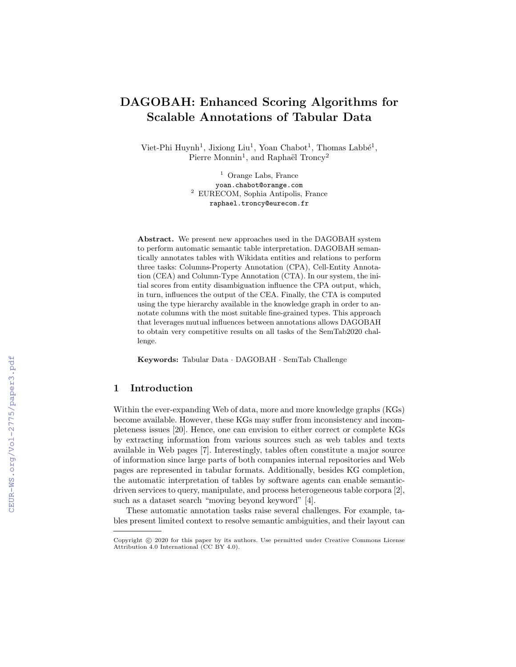# DAGOBAH: Enhanced Scoring Algorithms for Scalable Annotations of Tabular Data

Viet-Phi Huynh<sup>1</sup>, Jixiong Liu<sup>1</sup>, Yoan Chabot<sup>1</sup>, Thomas Labbé<sup>1</sup>, Pierre Monnin<sup>1</sup>, and Raphaël Troncy<sup>2</sup>

> <sup>1</sup> Orange Labs, France yoan.chabot@orange.com <sup>2</sup> EURECOM, Sophia Antipolis, France raphael.troncy@eurecom.fr

Abstract. We present new approaches used in the DAGOBAH system to perform automatic semantic table interpretation. DAGOBAH semantically annotates tables with Wikidata entities and relations to perform three tasks: Columns-Property Annotation (CPA), Cell-Entity Annotation (CEA) and Column-Type Annotation (CTA). In our system, the initial scores from entity disambiguation influence the CPA output, which, in turn, influences the output of the CEA. Finally, the CTA is computed using the type hierarchy available in the knowledge graph in order to annotate columns with the most suitable fine-grained types. This approach that leverages mutual influences between annotations allows DAGOBAH to obtain very competitive results on all tasks of the SemTab2020 challenge.

Keywords: Tabular Data · DAGOBAH · SemTab Challenge

# 1 Introduction

Within the ever-expanding Web of data, more and more knowledge graphs (KGs) become available. However, these KGs may suffer from inconsistency and incompleteness issues [20]. Hence, one can envision to either correct or complete KGs by extracting information from various sources such as web tables and texts available in Web pages [7]. Interestingly, tables often constitute a major source of information since large parts of both companies internal repositories and Web pages are represented in tabular formats. Additionally, besides KG completion, the automatic interpretation of tables by software agents can enable semanticdriven services to query, manipulate, and process heterogeneous table corpora [2], such as a dataset search "moving beyond keyword" [4].

These automatic annotation tasks raise several challenges. For example, tables present limited context to resolve semantic ambiguities, and their layout can

Copyright © 2020 for this paper by its authors. Use permitted under Creative Commons License Attribution 4.0 International (CC BY 4.0).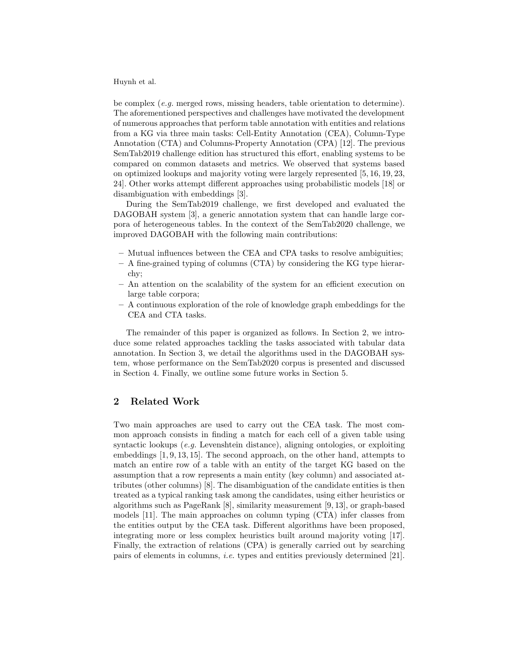be complex (e.g. merged rows, missing headers, table orientation to determine). The aforementioned perspectives and challenges have motivated the development of numerous approaches that perform table annotation with entities and relations from a KG via three main tasks: Cell-Entity Annotation (CEA), Column-Type Annotation (CTA) and Columns-Property Annotation (CPA) [12]. The previous SemTab2019 challenge edition has structured this effort, enabling systems to be compared on common datasets and metrics. We observed that systems based on optimized lookups and majority voting were largely represented [5, 16, 19, 23, 24]. Other works attempt different approaches using probabilistic models [18] or disambiguation with embeddings [3].

During the SemTab2019 challenge, we first developed and evaluated the DAGOBAH system [3], a generic annotation system that can handle large corpora of heterogeneous tables. In the context of the SemTab2020 challenge, we improved DAGOBAH with the following main contributions:

- Mutual influences between the CEA and CPA tasks to resolve ambiguities;
- A fine-grained typing of columns (CTA) by considering the KG type hierarchy;
- An attention on the scalability of the system for an efficient execution on large table corpora;
- A continuous exploration of the role of knowledge graph embeddings for the CEA and CTA tasks.

The remainder of this paper is organized as follows. In Section 2, we introduce some related approaches tackling the tasks associated with tabular data annotation. In Section 3, we detail the algorithms used in the DAGOBAH system, whose performance on the SemTab2020 corpus is presented and discussed in Section 4. Finally, we outline some future works in Section 5.

## 2 Related Work

Two main approaches are used to carry out the CEA task. The most common approach consists in finding a match for each cell of a given table using syntactic lookups (*e.g.* Levenshtein distance), aligning ontologies, or exploiting embeddings [1, 9, 13, 15]. The second approach, on the other hand, attempts to match an entire row of a table with an entity of the target KG based on the assumption that a row represents a main entity (key column) and associated attributes (other columns) [8]. The disambiguation of the candidate entities is then treated as a typical ranking task among the candidates, using either heuristics or algorithms such as PageRank [8], similarity measurement [9, 13], or graph-based models [11]. The main approaches on column typing (CTA) infer classes from the entities output by the CEA task. Different algorithms have been proposed, integrating more or less complex heuristics built around majority voting [17]. Finally, the extraction of relations (CPA) is generally carried out by searching pairs of elements in columns, i.e. types and entities previously determined [21].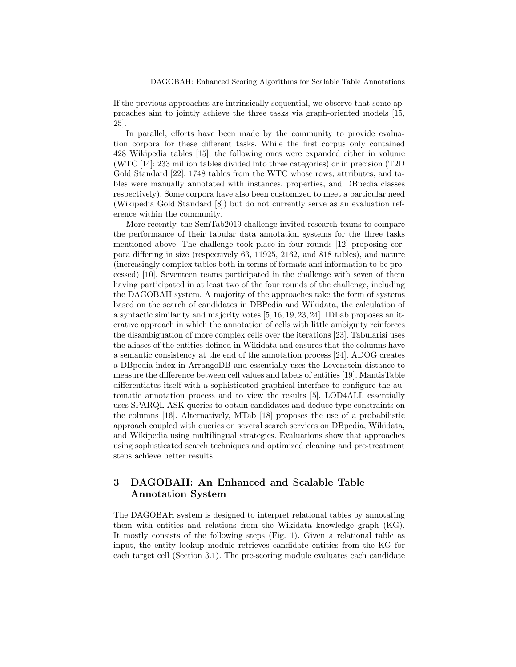If the previous approaches are intrinsically sequential, we observe that some approaches aim to jointly achieve the three tasks via graph-oriented models [15, 25].

In parallel, efforts have been made by the community to provide evaluation corpora for these different tasks. While the first corpus only contained 428 Wikipedia tables [15], the following ones were expanded either in volume (WTC [14]: 233 million tables divided into three categories) or in precision (T2D Gold Standard [22]: 1748 tables from the WTC whose rows, attributes, and tables were manually annotated with instances, properties, and DBpedia classes respectively). Some corpora have also been customized to meet a particular need (Wikipedia Gold Standard [8]) but do not currently serve as an evaluation reference within the community.

More recently, the SemTab2019 challenge invited research teams to compare the performance of their tabular data annotation systems for the three tasks mentioned above. The challenge took place in four rounds [12] proposing corpora differing in size (respectively 63, 11925, 2162, and 818 tables), and nature (increasingly complex tables both in terms of formats and information to be processed) [10]. Seventeen teams participated in the challenge with seven of them having participated in at least two of the four rounds of the challenge, including the DAGOBAH system. A majority of the approaches take the form of systems based on the search of candidates in DBPedia and Wikidata, the calculation of a syntactic similarity and majority votes [5, 16, 19, 23, 24]. IDLab proposes an iterative approach in which the annotation of cells with little ambiguity reinforces the disambiguation of more complex cells over the iterations [23]. Tabularisi uses the aliases of the entities defined in Wikidata and ensures that the columns have a semantic consistency at the end of the annotation process [24]. ADOG creates a DBpedia index in ArrangoDB and essentially uses the Levenstein distance to measure the difference between cell values and labels of entities [19]. MantisTable differentiates itself with a sophisticated graphical interface to configure the automatic annotation process and to view the results [5]. LOD4ALL essentially uses SPARQL ASK queries to obtain candidates and deduce type constraints on the columns [16]. Alternatively, MTab [18] proposes the use of a probabilistic approach coupled with queries on several search services on DBpedia, Wikidata, and Wikipedia using multilingual strategies. Evaluations show that approaches using sophisticated search techniques and optimized cleaning and pre-treatment steps achieve better results.

# 3 DAGOBAH: An Enhanced and Scalable Table Annotation System

The DAGOBAH system is designed to interpret relational tables by annotating them with entities and relations from the Wikidata knowledge graph (KG). It mostly consists of the following steps (Fig. 1). Given a relational table as input, the entity lookup module retrieves candidate entities from the KG for each target cell (Section 3.1). The pre-scoring module evaluates each candidate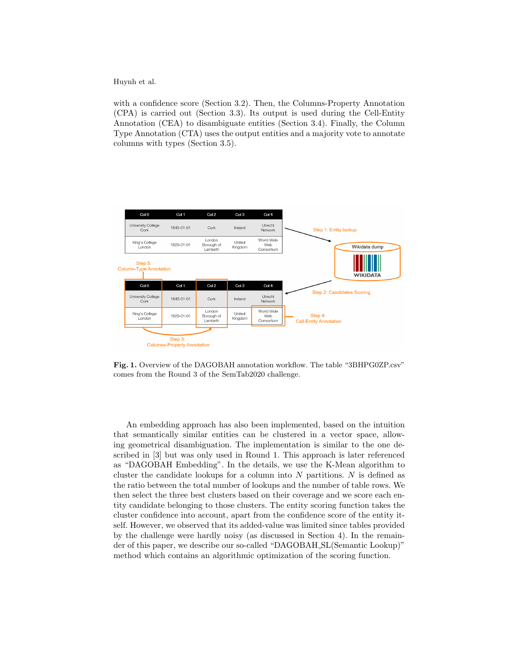with a confidence score (Section 3.2). Then, the Columns-Property Annotation (CPA) is carried out (Section 3.3). Its output is used during the Cell-Entity Annotation (CEA) to disambiguate entities (Section 3.4). Finally, the Column Type Annotation (CTA) uses the output entities and a majority vote to annotate columns with types (Section 3.5).



Fig. 1. Overview of the DAGOBAH annotation workflow. The table "3BHPG0ZP.csv" comes from the Round 3 of the SemTab2020 challenge.

An embedding approach has also been implemented, based on the intuition that semantically similar entities can be clustered in a vector space, allowing geometrical disambiguation. The implementation is similar to the one described in [3] but was only used in Round 1. This approach is later referenced as "DAGOBAH Embedding". In the details, we use the K-Mean algorithm to cluster the candidate lookups for a column into  $N$  partitions.  $N$  is defined as the ratio between the total number of lookups and the number of table rows. We then select the three best clusters based on their coverage and we score each entity candidate belonging to those clusters. The entity scoring function takes the cluster confidence into account, apart from the confidence score of the entity itself. However, we observed that its added-value was limited since tables provided by the challenge were hardly noisy (as discussed in Section 4). In the remainder of this paper, we describe our so-called "DAGOBAH SL(Semantic Lookup)" method which contains an algorithmic optimization of the scoring function.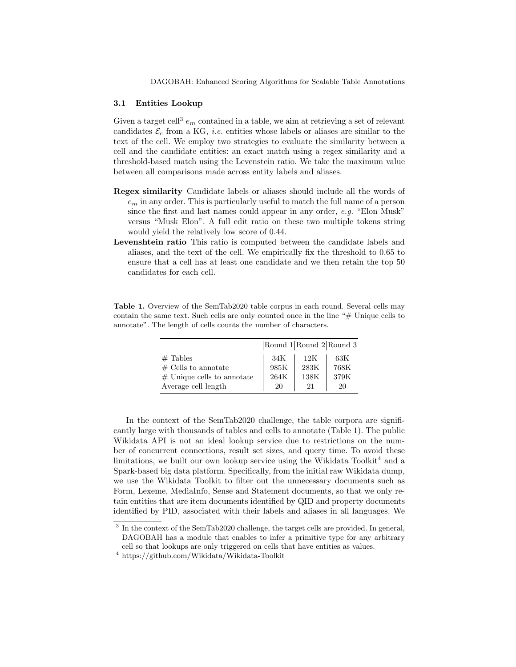#### 3.1 Entities Lookup

Given a target cell<sup>3</sup>  $e_m$  contained in a table, we aim at retrieving a set of relevant candidates  $\mathcal{E}_c$  from a KG, *i.e.* entities whose labels or aliases are similar to the text of the cell. We employ two strategies to evaluate the similarity between a cell and the candidate entities: an exact match using a regex similarity and a threshold-based match using the Levenstein ratio. We take the maximum value between all comparisons made across entity labels and aliases.

- Regex similarity Candidate labels or aliases should include all the words of  $e<sub>m</sub>$  in any order. This is particularly useful to match the full name of a person since the first and last names could appear in any order, e.g. "Elon Musk" versus "Musk Elon". A full edit ratio on these two multiple tokens string would yield the relatively low score of 0.44.
- Levenshtein ratio This ratio is computed between the candidate labels and aliases, and the text of the cell. We empirically fix the threshold to 0.65 to ensure that a cell has at least one candidate and we then retain the top 50 candidates for each cell.

|                              | Round $1$ Round $2$ Round 3 |      |      |  |  |  |  |
|------------------------------|-----------------------------|------|------|--|--|--|--|
| $#$ Tables                   | 34K                         | 12K  | 63K  |  |  |  |  |
| $\#$ Cells to annotate       | 985K                        | 283K | 768K |  |  |  |  |
| $#$ Unique cells to annotate | 264K                        | 138K | 379K |  |  |  |  |
| Average cell length          | 20                          | 21   | 20   |  |  |  |  |

Table 1. Overview of the SemTab2020 table corpus in each round. Several cells may contain the same text. Such cells are only counted once in the line "# Unique cells to annotate". The length of cells counts the number of characters.

In the context of the SemTab2020 challenge, the table corpora are significantly large with thousands of tables and cells to annotate (Table 1). The public Wikidata API is not an ideal lookup service due to restrictions on the number of concurrent connections, result set sizes, and query time. To avoid these limitations, we built our own lookup service using the Wikidata Toolkit<sup>4</sup> and a Spark-based big data platform. Specifically, from the initial raw Wikidata dump, we use the Wikidata Toolkit to filter out the unnecessary documents such as Form, Lexeme, MediaInfo, Sense and Statement documents, so that we only retain entities that are item documents identified by QID and property documents identified by PID, associated with their labels and aliases in all languages. We

<sup>&</sup>lt;sup>3</sup> In the context of the SemTab2020 challenge, the target cells are provided. In general, DAGOBAH has a module that enables to infer a primitive type for any arbitrary cell so that lookups are only triggered on cells that have entities as values.

 $^4$ https://github.com/Wikidata/Wikidata-Toolkit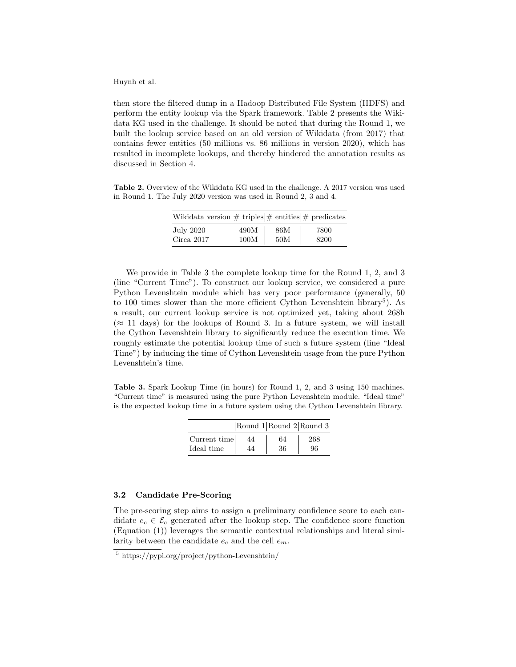then store the filtered dump in a Hadoop Distributed File System (HDFS) and perform the entity lookup via the Spark framework. Table 2 presents the Wikidata KG used in the challenge. It should be noted that during the Round 1, we built the lookup service based on an old version of Wikidata (from 2017) that contains fewer entities (50 millions vs. 86 millions in version 2020), which has resulted in incomplete lookups, and thereby hindered the annotation results as discussed in Section 4.

Table 2. Overview of the Wikidata KG used in the challenge. A 2017 version was used in Round 1. The July 2020 version was used in Round 2, 3 and 4.

| Wikidata version $\#$ triples $\#$ entities $\#$ predicates |      |     |      |
|-------------------------------------------------------------|------|-----|------|
| July 2020                                                   | 490M | 86M | 7800 |
| Circa $2017$                                                | 100M | 50M | 8200 |

We provide in Table 3 the complete lookup time for the Round 1, 2, and 3 (line "Current Time"). To construct our lookup service, we considered a pure Python Levenshtein module which has very poor performance (generally, 50 to 100 times slower than the more efficient Cython Levenshtein library<sup>5</sup>). As a result, our current lookup service is not optimized yet, taking about 268h  $(\approx 11 \text{ days})$  for the lookups of Round 3. In a future system, we will install the Cython Levenshtein library to significantly reduce the execution time. We roughly estimate the potential lookup time of such a future system (line "Ideal Time") by inducing the time of Cython Levenshtein usage from the pure Python Levenshtein's time.

Table 3. Spark Lookup Time (in hours) for Round 1, 2, and 3 using 150 machines. "Current time" is measured using the pure Python Levenshtein module. "Ideal time" is the expected lookup time in a future system using the Cython Levenshtein library.

|              |    | Round $1$ Round $2$ Round 3 |     |
|--------------|----|-----------------------------|-----|
| Current time | 44 | 64                          | 268 |
| Ideal time   | 44 | 36                          | 96  |

#### 3.2 Candidate Pre-Scoring

The pre-scoring step aims to assign a preliminary confidence score to each candidate  $e_c \in \mathcal{E}_c$  generated after the lookup step. The confidence score function (Equation (1)) leverages the semantic contextual relationships and literal similarity between the candidate  $e_c$  and the cell  $e_m$ .

<sup>5</sup> https://pypi.org/project/python-Levenshtein/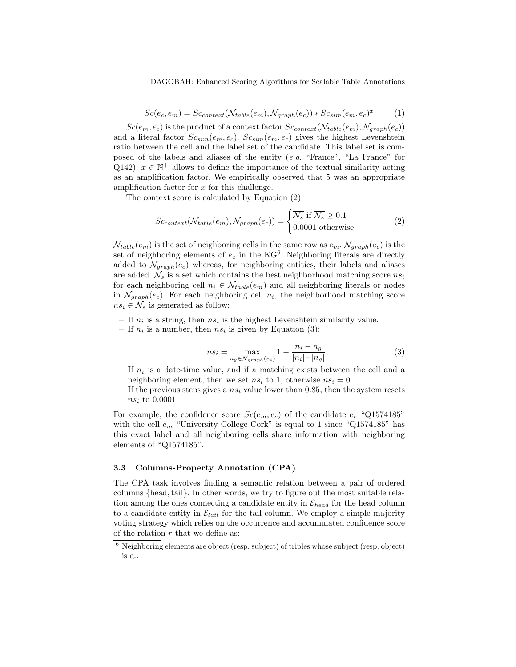DAGOBAH: Enhanced Scoring Algorithms for Scalable Table Annotations

$$
Sc(e_c, e_m) = Sc_{context}(\mathcal{N}_{table}(e_m), \mathcal{N}_{graph}(e_c)) * Sc_{sim}(e_m, e_c)^x
$$
 (1)

 $Sc(e_m, e_c)$  is the product of a context factor  $Sc_{context}(\mathcal{N}_{table}(e_m), \mathcal{N}_{graph}(e_c))$ and a literal factor  $Sc_{sim}(e_m, e_c)$ .  $Sc_{sim}(e_m, e_c)$  gives the highest Levenshtein ratio between the cell and the label set of the candidate. This label set is composed of the labels and aliases of the entity (e.g. "France", "La France" for Q142).  $x \in \mathbb{N}^+$  allows to define the importance of the textual similarity acting as an amplification factor. We empirically observed that 5 was an appropriate amplification factor for  $x$  for this challenge.

The context score is calculated by Equation (2):

$$
Sc_{context}(\mathcal{N}_{table}(e_m), \mathcal{N}_{graph}(e_c)) = \begin{cases} \overline{\mathcal{N}_s} & \text{if } \overline{\mathcal{N}_s} \ge 0.1\\ 0.0001 & \text{otherwise} \end{cases}
$$
 (2)

 $N_{table}(e_m)$  is the set of neighboring cells in the same row as  $e_m$ .  $N_{graph}(e_c)$  is the set of neighboring elements of  $e_c$  in the KG<sup>6</sup>. Neighboring literals are directly added to  $\mathcal{N}_{graph}(e_c)$  whereas, for neighboring entities, their labels and aliases are added.  $\mathcal{N}_s$  is a set which contains the best neighborhood matching score  $ns_i$ for each neighboring cell  $n_i \in \mathcal{N}_{table}(e_m)$  and all neighboring literals or nodes in  $\mathcal{N}_{graph}(e_c)$ . For each neighboring cell  $n_i$ , the neighborhood matching score  $ns_i \in \mathcal{N}_s$  is generated as follow:

- If  $n_i$  is a string, then  $ns_i$  is the highest Levenshtein similarity value.
- If  $n_i$  is a number, then  $ns_i$  is given by Equation (3):

$$
ns_i = \max_{n_g \in \mathcal{N}_{graph}(e_c)} 1 - \frac{|n_i - n_g|}{|n_i| + |n_g|}
$$
(3)

- $-$  If  $n_i$  is a date-time value, and if a matching exists between the cell and a neighboring element, then we set  $ns_i$  to 1, otherwise  $ns_i = 0$ .
- If the previous steps gives a  $ns_i$  value lower than 0.85, then the system resets  $ns_i$  to 0.0001.

For example, the confidence score  $Sc(e_m, e_c)$  of the candidate  $e_c$  "Q1574185" with the cell  $e_m$  "University College Cork" is equal to 1 since "Q1574185" has this exact label and all neighboring cells share information with neighboring elements of "Q1574185".

#### 3.3 Columns-Property Annotation (CPA)

The CPA task involves finding a semantic relation between a pair of ordered columns {head,tail}. In other words, we try to figure out the most suitable relation among the ones connecting a candidate entity in  $\mathcal{E}_{head}$  for the head column to a candidate entity in  $\mathcal{E}_{tail}$  for the tail column. We employ a simple majority voting strategy which relies on the occurrence and accumulated confidence score of the relation  $r$  that we define as:

 $6$  Neighboring elements are object (resp. subject) of triples whose subject (resp. object) is ec.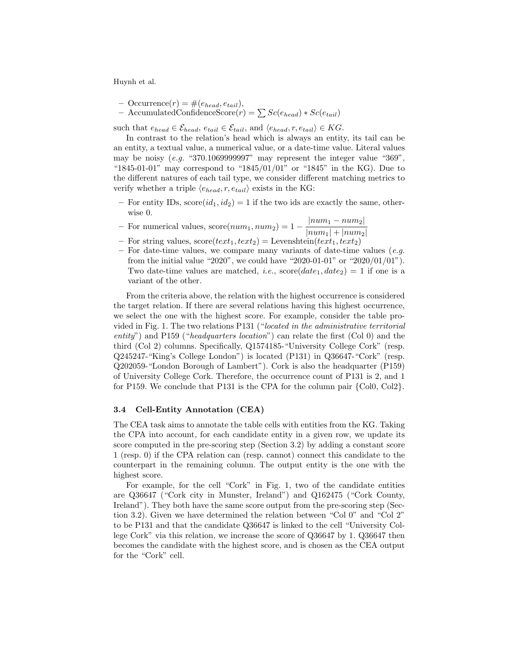- $-$  Occurrence $(r) = \#(e_{head}, e_{tail}),$
- $-$  AccumulatedConfidenceScore $(r) = \sum Sc(e_{head}) * Sc(e_{tail})$

such that  $e_{head} \in \mathcal{E}_{head}$ ,  $e_{tail} \in \mathcal{E}_{tail}$ , and  $\langle e_{head}, r, e_{tail} \rangle \in KG$ .

In contrast to the relation's head which is always an entity, its tail can be an entity, a textual value, a numerical value, or a date-time value. Literal values may be noisy (e.g. "370.1069999997" may represent the integer value "369", " $1845-01-01$ " may correspond to " $1845/01/01$ " or " $1845$ " in the KG). Due to the different natures of each tail type, we consider different matching metrics to verify whether a triple  $\langle e_{head}, r, e_{tail} \rangle$  exists in the KG:

- For entity IDs,  $\text{score}(id_1, id_2) = 1$  if the two ids are exactly the same, otherwise 0.
- For numerical values,  $score(num_1, num_2) = 1 \frac{|num_1 num_2|}{|num_1 + |num_2|}$  $|num_1| + |num_2|$
- For string values,  $score(text_1, text_2) = Levenshtein(text_1, text_2)$
- For date-time values, we compare many variants of date-time values  $(e.g.$ from the initial value "2020", we could have "2020-01-01" or "2020/01/01"). Two date-time values are matched, *i.e.*,  $score(data_{1}, date_{2}) = 1$  if one is a variant of the other.

From the criteria above, the relation with the highest occurrence is considered the target relation. If there are several relations having this highest occurrence, we select the one with the highest score. For example, consider the table provided in Fig. 1. The two relations P131 ("located in the administrative territorial entity") and P159 ("headquarters location") can relate the first (Col 0) and the third (Col 2) columns. Specifically, Q1574185-"University College Cork" (resp. Q245247-"King's College London") is located (P131) in Q36647-"Cork" (resp. Q202059-"London Borough of Lambert"). Cork is also the headquarter (P159) of University College Cork. Therefore, the occurrence count of P131 is 2, and 1 for P159. We conclude that P131 is the CPA for the column pair {Col0, Col2}.

#### 3.4 Cell-Entity Annotation (CEA)

The CEA task aims to annotate the table cells with entities from the KG. Taking the CPA into account, for each candidate entity in a given row, we update its score computed in the pre-scoring step (Section 3.2) by adding a constant score 1 (resp. 0) if the CPA relation can (resp. cannot) connect this candidate to the counterpart in the remaining column. The output entity is the one with the highest score.

For example, for the cell "Cork" in Fig. 1, two of the candidate entities are Q36647 ("Cork city in Munster, Ireland") and Q162475 ("Cork County, Ireland"). They both have the same score output from the pre-scoring step (Section 3.2). Given we have determined the relation between "Col 0" and "Col 2" to be P131 and that the candidate Q36647 is linked to the cell "University College Cork" via this relation, we increase the score of Q36647 by 1. Q36647 then becomes the candidate with the highest score, and is chosen as the CEA output for the "Cork" cell.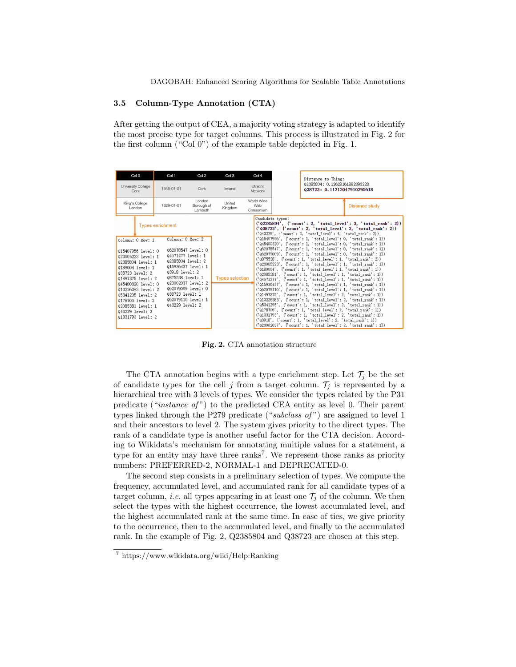DAGOBAH: Enhanced Scoring Algorithms for Scalable Table Annotations

#### 3.5 Column-Type Annotation (CTA)

After getting the output of CEA, a majority voting strategy is adapted to identify the most precise type for target columns. This process is illustrated in Fig. 2 for the first column ("Col 0") of the example table depicted in Fig. 1.



Fig. 2. CTA annotation structure

The CTA annotation begins with a type enrichment step. Let  $\mathcal{T}_i$  be the set of candidate types for the cell j from a target column.  $\mathcal{T}_i$  is represented by a hierarchical tree with 3 levels of types. We consider the types related by the P31 predicate ("*instance of*") to the predicted CEA entity as level 0. Their parent types linked through the P279 predicate ("subclass of") are assigned to level 1 and their ancestors to level 2. The system gives priority to the direct types. The rank of a candidate type is another useful factor for the CTA decision. According to Wikidata's mechanism for annotating multiple values for a statement, a type for an entity may have three ranks<sup>7</sup>. We represent those ranks as priority numbers: PREFERRED-2, NORMAL-1 and DEPRECATED-0.

The second step consists in a preliminary selection of types. We compute the frequency, accumulated level, and accumulated rank for all candidate types of a target column, *i.e.* all types appearing in at least one  $\mathcal{T}_j$  of the column. We then select the types with the highest occurrence, the lowest accumulated level, and the highest accumulated rank at the same time. In case of ties, we give priority to the occurrence, then to the accumulated level, and finally to the accumulated rank. In the example of Fig. 2, Q2385804 and Q38723 are chosen at this step.

<sup>7</sup> https://www.wikidata.org/wiki/Help:Ranking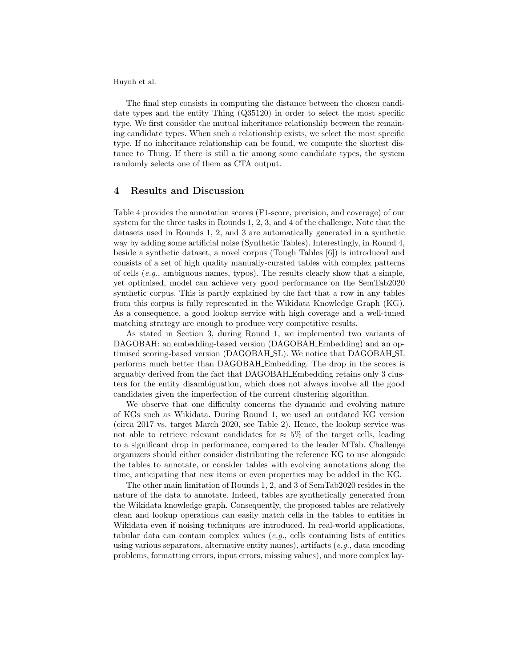The final step consists in computing the distance between the chosen candidate types and the entity Thing (Q35120) in order to select the most specific type. We first consider the mutual inheritance relationship between the remaining candidate types. When such a relationship exists, we select the most specific type. If no inheritance relationship can be found, we compute the shortest distance to Thing. If there is still a tie among some candidate types, the system randomly selects one of them as CTA output.

### 4 Results and Discussion

Table 4 provides the annotation scores (F1-score, precision, and coverage) of our system for the three tasks in Rounds 1, 2, 3, and 4 of the challenge. Note that the datasets used in Rounds 1, 2, and 3 are automatically generated in a synthetic way by adding some artificial noise (Synthetic Tables). Interestingly, in Round 4, beside a synthetic dataset, a novel corpus (Tough Tables [6]) is introduced and consists of a set of high quality manually-curated tables with complex patterns of cells  $(e.g.,$  ambiguous names, typos). The results clearly show that a simple, yet optimised, model can achieve very good performance on the SemTab2020 synthetic corpus. This is partly explained by the fact that a row in any tables from this corpus is fully represented in the Wikidata Knowledge Graph (KG). As a consequence, a good lookup service with high coverage and a well-tuned matching strategy are enough to produce very competitive results.

As stated in Section 3, during Round 1, we implemented two variants of DAGOBAH: an embedding-based version (DAGOBAH Embedding) and an optimised scoring-based version (DAGOBAH SL). We notice that DAGOBAH SL performs much better than DAGOBAH Embedding. The drop in the scores is arguably derived from the fact that DAGOBAH Embedding retains only 3 clusters for the entity disambiguation, which does not always involve all the good candidates given the imperfection of the current clustering algorithm.

We observe that one difficulty concerns the dynamic and evolving nature of KGs such as Wikidata. During Round 1, we used an outdated KG version (circa 2017 vs. target March 2020, see Table 2). Hence, the lookup service was not able to retrieve relevant candidates for  $\approx 5\%$  of the target cells, leading to a significant drop in performance, compared to the leader MTab. Challenge organizers should either consider distributing the reference KG to use alongside the tables to annotate, or consider tables with evolving annotations along the time, anticipating that new items or even properties may be added in the KG.

The other main limitation of Rounds 1, 2, and 3 of SemTab2020 resides in the nature of the data to annotate. Indeed, tables are synthetically generated from the Wikidata knowledge graph. Consequently, the proposed tables are relatively clean and lookup operations can easily match cells in the tables to entities in Wikidata even if noising techniques are introduced. In real-world applications, tabular data can contain complex values (e.g., cells containing lists of entities using various separators, alternative entity names), artifacts (e.g., data encoding problems, formatting errors, input errors, missing values), and more complex lay-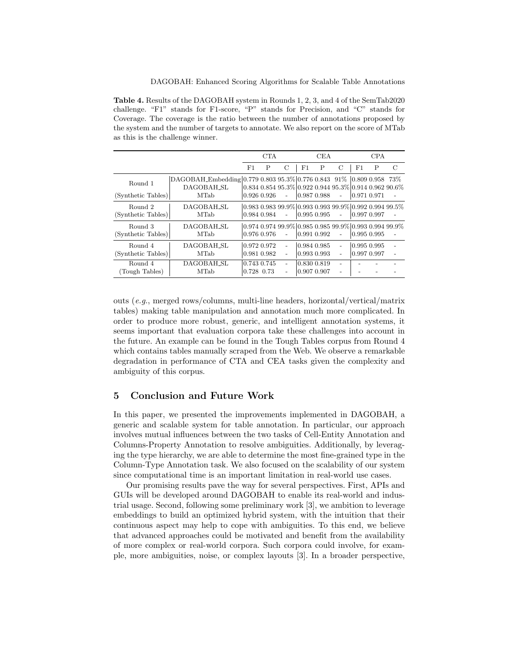Table 4. Results of the DAGOBAH system in Rounds 1, 2, 3, and 4 of the SemTab2020 challenge. "F1" stands for F1-score, "P" stands for Precision, and "C" stands for Coverage. The coverage is the ratio between the number of annotations proposed by the system and the number of targets to annotate. We also report on the score of MTab as this is the challenge winner.

|                               |                                                                                                  | <b>CTA</b>   |                                   | <b>CEA</b>                       |                            |   | <b>CPA</b>                    |                                |   |                                                                            |
|-------------------------------|--------------------------------------------------------------------------------------------------|--------------|-----------------------------------|----------------------------------|----------------------------|---|-------------------------------|--------------------------------|---|----------------------------------------------------------------------------|
|                               |                                                                                                  | F1           | P                                 | C                                | F1                         | P | C                             | F1                             | P | C                                                                          |
| Round 1<br>(Synthetic Tables) | DAGOBAH_Embedding 0.779 0.803 95.3% 0.776 0.843 91% 0.809 0.958 73%<br>DAGOBAH SL<br><b>MTab</b> |              | $ 0.926\;0.926$                   |                                  | 0.987 0.988                |   |                               | $ 0.971\;0.971$                |   | $0.834\ 0.854\ 95.3\%$ $0.922\ 0.944\ 95.3\%$ $0.914\ 0.962\ 90.6\%$       |
| Round 2<br>(Synthetic Tables) | DAGOBAH SL<br><b>MTab</b>                                                                        |              | $0.984$ $0.984$                   | $\sim$                           | $0.995$ 0.995              |   | $\sim$                        | 0.997 0.997                    |   | $0.983$ $0.983$ $99.9\%$ $0.993$ $0.993$ $99.9\%$ $0.992$ $0.994$ $99.5\%$ |
| Round 3<br>(Synthetic Tables) | DAGOBAH_SL<br><b>MTab</b>                                                                        |              | $ 0.976\;0.976$                   |                                  | $0.991$ $0.992$            |   |                               | 0.995 0.995                    |   | $0.9740.97499.9\%$ 0.985 0.985 99.9% 0.993 0.994 99.9%                     |
| Round 4<br>(Synthetic Tables) | DAGOBAH_SL<br>MTab                                                                               |              | $0.972$ $0.972$<br>$0.981\ 0.982$ | $\overline{a}$<br>$\overline{a}$ | 0.984 0.985<br>0.993 0.993 |   | $\overline{\phantom{a}}$<br>÷ | 0.995 0.995<br>$ 0.997\;0.997$ |   |                                                                            |
| Round 4<br>(Tough Tables)     | DAGOBAH_SL<br><b>MTab</b>                                                                        | $0.728$ 0.73 | $0.743$ $0.745$                   | $\qquad \qquad -$                | 0.830 0.819<br>0.907 0.907 |   |                               |                                |   |                                                                            |

outs (e.g., merged rows/columns, multi-line headers, horizontal/vertical/matrix tables) making table manipulation and annotation much more complicated. In order to produce more robust, generic, and intelligent annotation systems, it seems important that evaluation corpora take these challenges into account in the future. An example can be found in the Tough Tables corpus from Round 4 which contains tables manually scraped from the Web. We observe a remarkable degradation in performance of CTA and CEA tasks given the complexity and ambiguity of this corpus.

# 5 Conclusion and Future Work

In this paper, we presented the improvements implemented in DAGOBAH, a generic and scalable system for table annotation. In particular, our approach involves mutual influences between the two tasks of Cell-Entity Annotation and Columns-Property Annotation to resolve ambiguities. Additionally, by leveraging the type hierarchy, we are able to determine the most fine-grained type in the Column-Type Annotation task. We also focused on the scalability of our system since computational time is an important limitation in real-world use cases.

Our promising results pave the way for several perspectives. First, APIs and GUIs will be developed around DAGOBAH to enable its real-world and industrial usage. Second, following some preliminary work [3], we ambition to leverage embeddings to build an optimized hybrid system, with the intuition that their continuous aspect may help to cope with ambiguities. To this end, we believe that advanced approaches could be motivated and benefit from the availability of more complex or real-world corpora. Such corpora could involve, for example, more ambiguities, noise, or complex layouts [3]. In a broader perspective,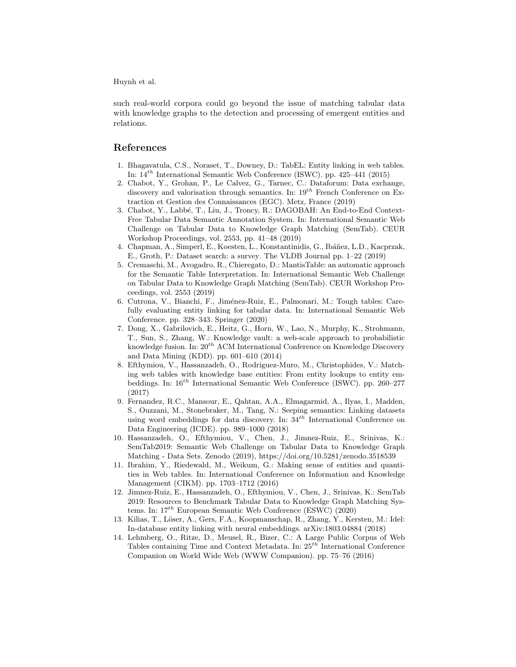such real-world corpora could go beyond the issue of matching tabular data with knowledge graphs to the detection and processing of emergent entities and relations.

# References

- 1. Bhagavatula, C.S., Noraset, T., Downey, D.: TabEL: Entity linking in web tables. In:  $14^{th}$  International Semantic Web Conference (ISWC). pp. 425–441 (2015)
- 2. Chabot, Y., Grohan, P., Le Calvez, G., Tarnec, C.: Dataforum: Data exchange, discovery and valorisation through semantics. In:  $19^{th}$  French Conference on Extraction et Gestion des Connaissances (EGC). Metz, France (2019)
- 3. Chabot, Y., Labb´e, T., Liu, J., Troncy, R.: DAGOBAH: An End-to-End Context-Free Tabular Data Semantic Annotation System. In: International Semantic Web Challenge on Tabular Data to Knowledge Graph Matching (SemTab). CEUR Workshop Proceedings, vol. 2553, pp. 41–48 (2019)
- 4. Chapman, A., Simperl, E., Koesten, L., Konstantinidis, G., Ibáñez, L.D., Kacprzak, E., Groth, P.: Dataset search: a survey. The VLDB Journal pp. 1–22 (2019)
- 5. Cremaschi, M., Avogadro, R., Chieregato, D.: MantisTable: an automatic approach for the Semantic Table Interpretation. In: International Semantic Web Challenge on Tabular Data to Knowledge Graph Matching (SemTab). CEUR Workshop Proceedings, vol. 2553 (2019)
- 6. Cutrona, V., Bianchi, F., Jiménez-Ruiz, E., Palmonari, M.: Tough tables: Carefully evaluating entity linking for tabular data. In: International Semantic Web Conference. pp. 328–343. Springer (2020)
- 7. Dong, X., Gabrilovich, E., Heitz, G., Horn, W., Lao, N., Murphy, K., Strohmann, T., Sun, S., Zhang, W.: Knowledge vault: a web-scale approach to probabilistic knowledge fusion. In:  $20^{th}$  ACM International Conference on Knowledge Discovery and Data Mining (KDD). pp. 601–610 (2014)
- 8. Efthymiou, V., Hassanzadeh, O., Rodriguez-Muro, M., Christophides, V.: Matching web tables with knowledge base entities: From entity lookups to entity embeddings. In:  $16^{th}$  International Semantic Web Conference (ISWC). pp. 260–277 (2017)
- 9. Fernandez, R.C., Mansour, E., Qahtan, A.A., Elmagarmid, A., Ilyas, I., Madden, S., Ouzzani, M., Stonebraker, M., Tang, N.: Seeping semantics: Linking datasets using word embeddings for data discovery. In:  $34<sup>th</sup>$  International Conference on Data Engineering (ICDE). pp. 989–1000 (2018)
- 10. Hassanzadeh, O., Efthymiou, V., Chen, J., Jimnez-Ruiz, E., Srinivas, K.: SemTab2019: Semantic Web Challenge on Tabular Data to Knowledge Graph Matching - Data Sets. Zenodo (2019), https://doi.org/10.5281/zenodo.3518539
- 11. Ibrahim, Y., Riedewald, M., Weikum, G.: Making sense of entities and quantities in Web tables. In: International Conference on Information and Knowledge Management (CIKM). pp. 1703–1712 (2016)
- 12. Jimnez-Ruiz, E., Hassanzadeh, O., Efthymiou, V., Chen, J., Srinivas, K.: SemTab 2019: Resources to Benchmark Tabular Data to Knowledge Graph Matching Systems. In:  $17^{th}$  European Semantic Web Conference (ESWC) (2020)
- 13. Kilias, T., Löser, A., Gers, F.A., Koopmanschap, R., Zhang, Y., Kersten, M.: Idel: In-database entity linking with neural embeddings. arXiv:1803.04884 (2018)
- 14. Lehmberg, O., Ritze, D., Meusel, R., Bizer, C.: A Large Public Corpus of Web Tables containing Time and Context Metadata. In:  $25^{th}$  International Conference Companion on World Wide Web (WWW Companion). pp. 75–76 (2016)